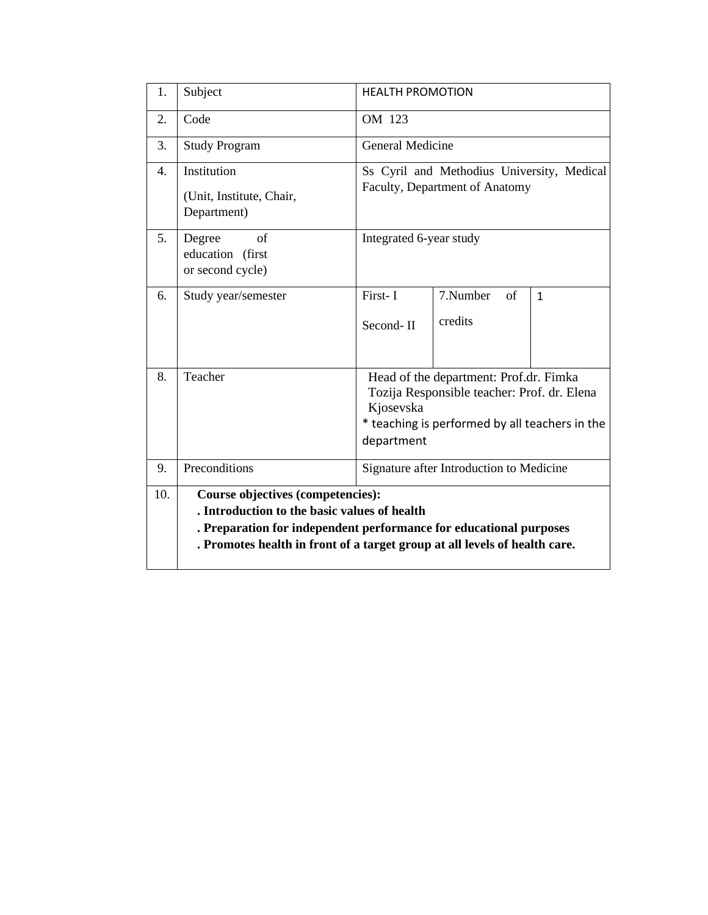| 1.  | Subject                                                                                                                                                                                                                                      | <b>HEALTH PROMOTION</b>                                                                                                                                            |                           |              |  |  |  |
|-----|----------------------------------------------------------------------------------------------------------------------------------------------------------------------------------------------------------------------------------------------|--------------------------------------------------------------------------------------------------------------------------------------------------------------------|---------------------------|--------------|--|--|--|
| 2.  | Code                                                                                                                                                                                                                                         | OM 123                                                                                                                                                             |                           |              |  |  |  |
| 3.  | <b>Study Program</b>                                                                                                                                                                                                                         | <b>General Medicine</b>                                                                                                                                            |                           |              |  |  |  |
| 4.  | Institution<br>(Unit, Institute, Chair,<br>Department)                                                                                                                                                                                       | Ss Cyril and Methodius University, Medical<br>Faculty, Department of Anatomy                                                                                       |                           |              |  |  |  |
| 5.  | Degree<br>of<br>education (first<br>or second cycle)                                                                                                                                                                                         | Integrated 6-year study                                                                                                                                            |                           |              |  |  |  |
| 6.  | Study year/semester                                                                                                                                                                                                                          | First-I<br>Second-II                                                                                                                                               | 7.Number<br>of<br>credits | $\mathbf{1}$ |  |  |  |
| 8.  | Teacher                                                                                                                                                                                                                                      | Head of the department: Prof.dr. Fimka<br>Tozija Responsible teacher: Prof. dr. Elena<br>Kjosevska<br>* teaching is performed by all teachers in the<br>department |                           |              |  |  |  |
| 9.  | Preconditions                                                                                                                                                                                                                                | Signature after Introduction to Medicine                                                                                                                           |                           |              |  |  |  |
| 10. | <b>Course objectives (competencies):</b><br>. Introduction to the basic values of health<br>. Preparation for independent performance for educational purposes<br>. Promotes health in front of a target group at all levels of health care. |                                                                                                                                                                    |                           |              |  |  |  |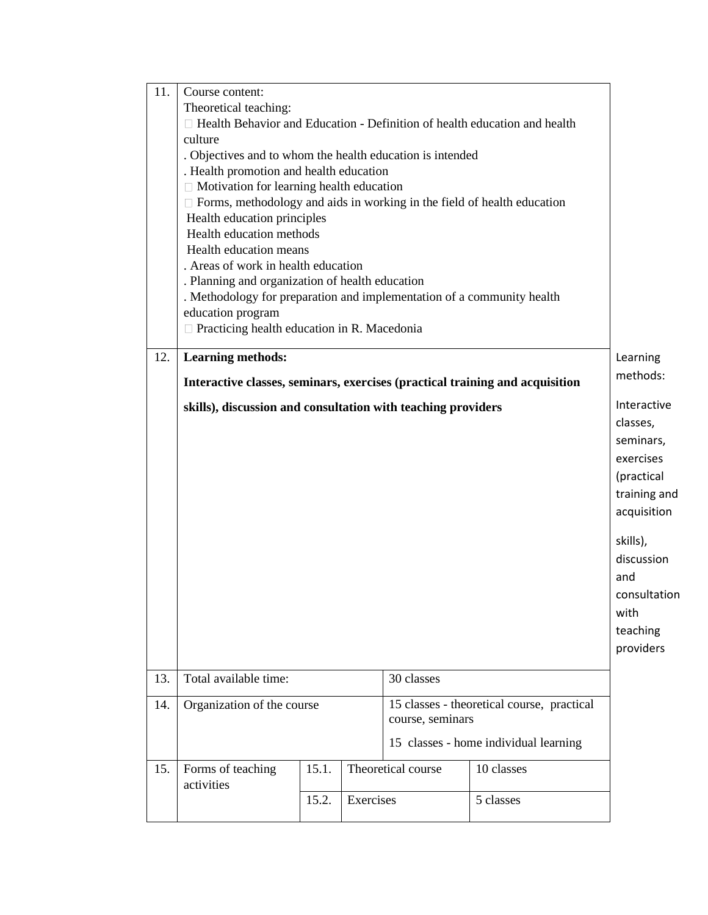| 11. | Course content:                                                                                                                   |       |           |                    |            |                      |  |  |
|-----|-----------------------------------------------------------------------------------------------------------------------------------|-------|-----------|--------------------|------------|----------------------|--|--|
|     | Theoretical teaching:                                                                                                             |       |           |                    |            |                      |  |  |
|     | $\Box$ Health Behavior and Education - Definition of health education and health                                                  |       |           |                    |            |                      |  |  |
|     | culture                                                                                                                           |       |           |                    |            |                      |  |  |
|     |                                                                                                                                   |       |           |                    |            |                      |  |  |
|     | . Objectives and to whom the health education is intended<br>. Health promotion and health education                              |       |           |                    |            |                      |  |  |
|     |                                                                                                                                   |       |           |                    |            |                      |  |  |
|     | $\Box$ Motivation for learning health education<br>$\Box$ Forms, methodology and aids in working in the field of health education |       |           |                    |            |                      |  |  |
|     |                                                                                                                                   |       |           |                    |            |                      |  |  |
|     | Health education principles                                                                                                       |       |           |                    |            |                      |  |  |
|     | Health education methods<br>Health education means                                                                                |       |           |                    |            |                      |  |  |
|     | . Areas of work in health education                                                                                               |       |           |                    |            |                      |  |  |
|     | . Planning and organization of health education                                                                                   |       |           |                    |            |                      |  |  |
|     |                                                                                                                                   |       |           |                    |            |                      |  |  |
|     | . Methodology for preparation and implementation of a community health                                                            |       |           |                    |            |                      |  |  |
|     | education program                                                                                                                 |       |           |                    |            |                      |  |  |
|     | $\Box$ Practicing health education in R. Macedonia                                                                                |       |           |                    |            |                      |  |  |
| 12. | <b>Learning methods:</b>                                                                                                          |       |           |                    |            |                      |  |  |
|     |                                                                                                                                   |       |           |                    |            | Learning<br>methods: |  |  |
|     | Interactive classes, seminars, exercises (practical training and acquisition                                                      |       |           |                    |            |                      |  |  |
|     |                                                                                                                                   |       |           |                    |            |                      |  |  |
|     | skills), discussion and consultation with teaching providers                                                                      |       |           |                    |            | Interactive          |  |  |
|     |                                                                                                                                   |       |           |                    |            | classes,             |  |  |
|     |                                                                                                                                   |       |           |                    |            | seminars,            |  |  |
|     |                                                                                                                                   |       |           |                    |            | exercises            |  |  |
|     |                                                                                                                                   |       |           |                    |            | (practical           |  |  |
|     |                                                                                                                                   |       |           |                    |            | training and         |  |  |
|     |                                                                                                                                   |       |           |                    |            |                      |  |  |
|     |                                                                                                                                   |       |           |                    |            |                      |  |  |
|     |                                                                                                                                   |       |           |                    |            |                      |  |  |
|     |                                                                                                                                   |       |           |                    |            | skills),             |  |  |
|     |                                                                                                                                   |       |           |                    |            | discussion           |  |  |
|     |                                                                                                                                   |       |           |                    |            | and                  |  |  |
|     |                                                                                                                                   |       |           |                    |            | consultation         |  |  |
|     |                                                                                                                                   |       |           |                    |            |                      |  |  |
|     |                                                                                                                                   |       |           |                    |            | with                 |  |  |
|     |                                                                                                                                   |       |           |                    |            | teaching             |  |  |
|     |                                                                                                                                   |       |           |                    |            | providers            |  |  |
|     |                                                                                                                                   |       |           |                    |            |                      |  |  |
| 13. | Total available time:<br>30 classes                                                                                               |       |           |                    |            |                      |  |  |
|     |                                                                                                                                   |       |           |                    |            |                      |  |  |
| 14. | Organization of the course<br>15 classes - theoretical course, practical<br>course, seminars                                      |       |           |                    |            |                      |  |  |
|     |                                                                                                                                   |       |           |                    |            |                      |  |  |
|     | 15 classes - home individual learning                                                                                             |       |           |                    |            |                      |  |  |
|     |                                                                                                                                   |       |           |                    |            |                      |  |  |
| 15. | Forms of teaching                                                                                                                 | 15.1. |           | Theoretical course | 10 classes |                      |  |  |
|     | activities                                                                                                                        |       |           |                    |            |                      |  |  |
|     |                                                                                                                                   | 15.2. | Exercises |                    | 5 classes  |                      |  |  |
|     |                                                                                                                                   |       |           |                    |            |                      |  |  |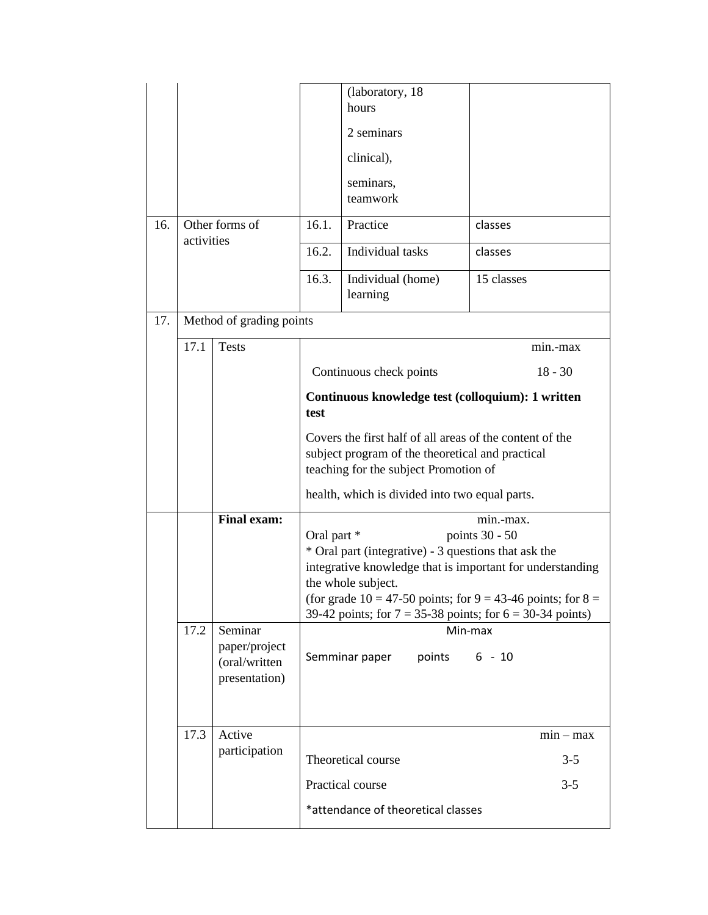|     | (laboratory, 18)                                                                                                                                      |                                                            |                                                           |                                                                                                                                                                                                                                                                                           |             |  |  |
|-----|-------------------------------------------------------------------------------------------------------------------------------------------------------|------------------------------------------------------------|-----------------------------------------------------------|-------------------------------------------------------------------------------------------------------------------------------------------------------------------------------------------------------------------------------------------------------------------------------------------|-------------|--|--|
|     |                                                                                                                                                       |                                                            |                                                           | hours                                                                                                                                                                                                                                                                                     |             |  |  |
|     |                                                                                                                                                       |                                                            |                                                           | 2 seminars                                                                                                                                                                                                                                                                                |             |  |  |
|     |                                                                                                                                                       |                                                            |                                                           | clinical),                                                                                                                                                                                                                                                                                |             |  |  |
|     |                                                                                                                                                       |                                                            |                                                           | seminars,<br>teamwork                                                                                                                                                                                                                                                                     |             |  |  |
| 16. | Other forms of<br>activities                                                                                                                          |                                                            | 16.1.                                                     | Practice                                                                                                                                                                                                                                                                                  | classes     |  |  |
|     |                                                                                                                                                       |                                                            | 16.2.                                                     | Individual tasks                                                                                                                                                                                                                                                                          | classes     |  |  |
|     |                                                                                                                                                       |                                                            | 16.3.                                                     | Individual (home)<br>learning                                                                                                                                                                                                                                                             | 15 classes  |  |  |
| 17. |                                                                                                                                                       | Method of grading points                                   |                                                           |                                                                                                                                                                                                                                                                                           |             |  |  |
|     | 17.1                                                                                                                                                  | <b>Tests</b>                                               |                                                           |                                                                                                                                                                                                                                                                                           | min.-max    |  |  |
|     |                                                                                                                                                       |                                                            |                                                           | Continuous check points                                                                                                                                                                                                                                                                   | $18 - 30$   |  |  |
|     |                                                                                                                                                       |                                                            | Continuous knowledge test (colloquium): 1 written<br>test |                                                                                                                                                                                                                                                                                           |             |  |  |
|     | Covers the first half of all areas of the content of the<br>subject program of the theoretical and practical<br>teaching for the subject Promotion of |                                                            |                                                           |                                                                                                                                                                                                                                                                                           |             |  |  |
|     | health, which is divided into two equal parts.                                                                                                        |                                                            |                                                           |                                                                                                                                                                                                                                                                                           |             |  |  |
|     |                                                                                                                                                       | <b>Final exam:</b>                                         | Oral part *<br>the whole subject.                         | min.-max.<br>points 30 - 50<br>* Oral part (integrative) - 3 questions that ask the<br>integrative knowledge that is important for understanding<br>(for grade $10 = 47-50$ points; for $9 = 43-46$ points; for $8 = 10$<br>39-42 points; for $7 = 35-38$ points; for $6 = 30-34$ points) |             |  |  |
|     | 17.2                                                                                                                                                  | Seminar<br>paper/project<br>(oral/written<br>presentation) | Min-max<br>points 6 - 10<br>Semminar paper                |                                                                                                                                                                                                                                                                                           |             |  |  |
|     | 17.3                                                                                                                                                  | Active                                                     |                                                           |                                                                                                                                                                                                                                                                                           | $min - max$ |  |  |
|     |                                                                                                                                                       | participation                                              |                                                           | Theoretical course                                                                                                                                                                                                                                                                        | $3 - 5$     |  |  |
|     |                                                                                                                                                       |                                                            |                                                           | Practical course                                                                                                                                                                                                                                                                          | $3 - 5$     |  |  |
|     |                                                                                                                                                       |                                                            | *attendance of theoretical classes                        |                                                                                                                                                                                                                                                                                           |             |  |  |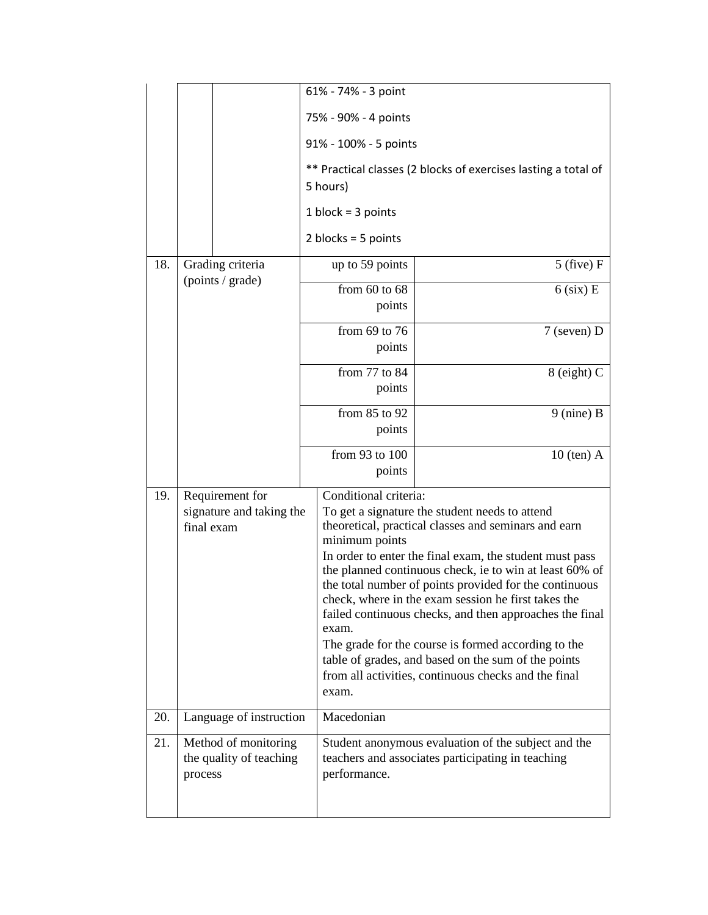|     |                                                            |                  | 61% - 74% - 3 point                                                        |                                                                                                                                                                                                                                                                                                                                                                                                                                                                                                                                                                                                                           |  |  |  |
|-----|------------------------------------------------------------|------------------|----------------------------------------------------------------------------|---------------------------------------------------------------------------------------------------------------------------------------------------------------------------------------------------------------------------------------------------------------------------------------------------------------------------------------------------------------------------------------------------------------------------------------------------------------------------------------------------------------------------------------------------------------------------------------------------------------------------|--|--|--|
|     |                                                            |                  | 75% - 90% - 4 points                                                       |                                                                                                                                                                                                                                                                                                                                                                                                                                                                                                                                                                                                                           |  |  |  |
|     |                                                            |                  | 91% - 100% - 5 points                                                      |                                                                                                                                                                                                                                                                                                                                                                                                                                                                                                                                                                                                                           |  |  |  |
|     |                                                            |                  | ** Practical classes (2 blocks of exercises lasting a total of<br>5 hours) |                                                                                                                                                                                                                                                                                                                                                                                                                                                                                                                                                                                                                           |  |  |  |
|     |                                                            |                  | 1 block = $3$ points                                                       |                                                                                                                                                                                                                                                                                                                                                                                                                                                                                                                                                                                                                           |  |  |  |
|     |                                                            |                  | 2 blocks = $5$ points                                                      |                                                                                                                                                                                                                                                                                                                                                                                                                                                                                                                                                                                                                           |  |  |  |
| 18. |                                                            | Grading criteria | up to 59 points                                                            | $5$ (five) F                                                                                                                                                                                                                                                                                                                                                                                                                                                                                                                                                                                                              |  |  |  |
|     | (points / grade)                                           |                  | from $60$ to $68$                                                          | $6$ (six) E                                                                                                                                                                                                                                                                                                                                                                                                                                                                                                                                                                                                               |  |  |  |
|     |                                                            |                  |                                                                            | points                                                                                                                                                                                                                                                                                                                                                                                                                                                                                                                                                                                                                    |  |  |  |
|     |                                                            |                  | from $69$ to $76$                                                          | $7$ (seven) D<br>points                                                                                                                                                                                                                                                                                                                                                                                                                                                                                                                                                                                                   |  |  |  |
|     |                                                            |                  | from 77 to 84                                                              | $8$ (eight) C<br>points                                                                                                                                                                                                                                                                                                                                                                                                                                                                                                                                                                                                   |  |  |  |
|     |                                                            |                  | from 85 to 92                                                              | $9$ (nine) B<br>points                                                                                                                                                                                                                                                                                                                                                                                                                                                                                                                                                                                                    |  |  |  |
|     |                                                            |                  | from 93 to 100                                                             | $10$ (ten) A<br>points                                                                                                                                                                                                                                                                                                                                                                                                                                                                                                                                                                                                    |  |  |  |
| 19. | Requirement for<br>signature and taking the<br>final exam  |                  | exam.<br>exam.                                                             | Conditional criteria:<br>To get a signature the student needs to attend<br>theoretical, practical classes and seminars and earn<br>minimum points<br>In order to enter the final exam, the student must pass<br>the planned continuous check, ie to win at least 60% of<br>the total number of points provided for the continuous<br>check, where in the exam session he first takes the<br>failed continuous checks, and then approaches the final<br>The grade for the course is formed according to the<br>table of grades, and based on the sum of the points<br>from all activities, continuous checks and the final |  |  |  |
| 20. | Language of instruction                                    |                  | Macedonian                                                                 |                                                                                                                                                                                                                                                                                                                                                                                                                                                                                                                                                                                                                           |  |  |  |
| 21. | Method of monitoring<br>the quality of teaching<br>process |                  | performance.                                                               | Student anonymous evaluation of the subject and the<br>teachers and associates participating in teaching                                                                                                                                                                                                                                                                                                                                                                                                                                                                                                                  |  |  |  |